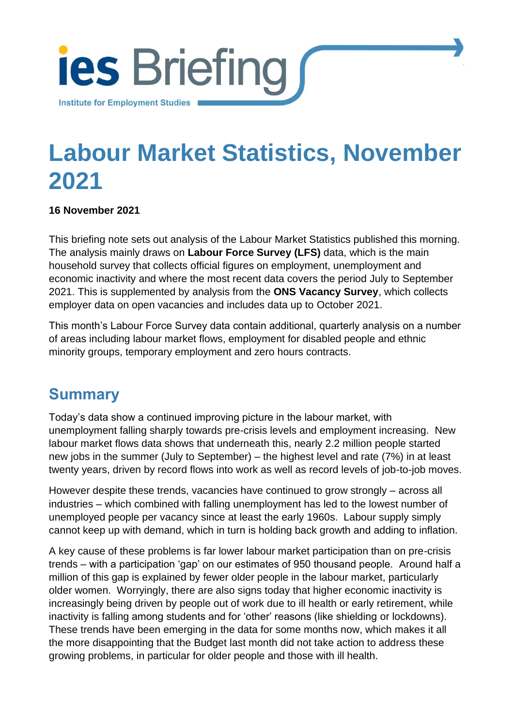

# **Labour Market Statistics, November 2021**

[Institute for Employment Studies](http://www.employment-studies.co.uk/) 1

#### **16 November 2021**

This briefing note sets out analysis of the Labour Market Statistics published this morning. The analysis mainly draws on **Labour Force Survey (LFS)** data, which is the main household survey that collects official figures on employment, unemployment and economic inactivity and where the most recent data covers the period July to September 2021. This is supplemented by analysis from the **ONS Vacancy Survey**, which collects employer data on open vacancies and includes data up to October 2021.

This month's Labour Force Survey data contain additional, quarterly analysis on a number of areas including labour market flows, employment for disabled people and ethnic minority groups, temporary employment and zero hours contracts.

### **Summary**

Today's data show a continued improving picture in the labour market, with unemployment falling sharply towards pre-crisis levels and employment increasing. New labour market flows data shows that underneath this, nearly 2.2 million people started new jobs in the summer (July to September) – the highest level and rate (7%) in at least twenty years, driven by record flows into work as well as record levels of job-to-job moves.

However despite these trends, vacancies have continued to grow strongly – across all industries – which combined with falling unemployment has led to the lowest number of unemployed people per vacancy since at least the early 1960s. Labour supply simply cannot keep up with demand, which in turn is holding back growth and adding to inflation.

A key cause of these problems is far lower labour market participation than on pre-crisis trends – with a participation 'gap' on our estimates of 950 thousand people. Around half a million of this gap is explained by fewer older people in the labour market, particularly older women. Worryingly, there are also signs today that higher economic inactivity is increasingly being driven by people out of work due to ill health or early retirement, while inactivity is falling among students and for 'other' reasons (like shielding or lockdowns). These trends have been emerging in the data for some months now, which makes it all the more disappointing that the Budget last month did not take action to address these growing problems, in particular for older people and those with ill health.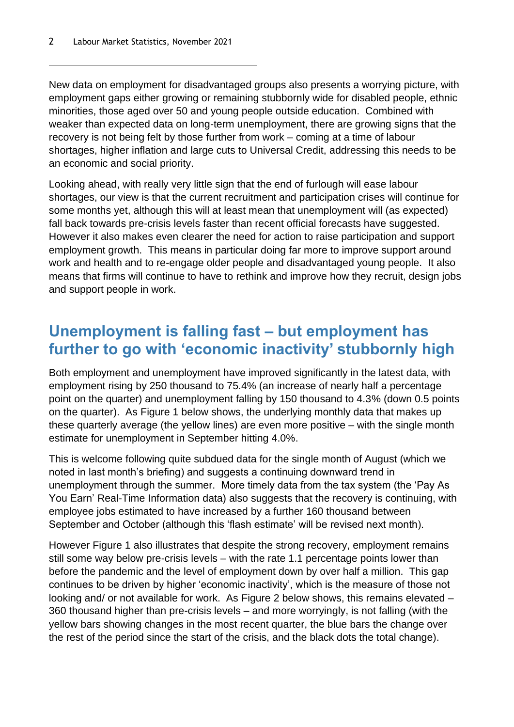New data on employment for disadvantaged groups also presents a worrying picture, with employment gaps either growing or remaining stubbornly wide for disabled people, ethnic minorities, those aged over 50 and young people outside education. Combined with weaker than expected data on long-term unemployment, there are growing signs that the recovery is not being felt by those further from work – coming at a time of labour shortages, higher inflation and large cuts to Universal Credit, addressing this needs to be an economic and social priority.

Looking ahead, with really very little sign that the end of furlough will ease labour shortages, our view is that the current recruitment and participation crises will continue for some months yet, although this will at least mean that unemployment will (as expected) fall back towards pre-crisis levels faster than recent official forecasts have suggested. However it also makes even clearer the need for action to raise participation and support employment growth. This means in particular doing far more to improve support around work and health and to re-engage older people and disadvantaged young people. It also means that firms will continue to have to rethink and improve how they recruit, design jobs and support people in work.

# **Unemployment is falling fast – but employment has further to go with 'economic inactivity' stubbornly high**

Both employment and unemployment have improved significantly in the latest data, with employment rising by 250 thousand to 75.4% (an increase of nearly half a percentage point on the quarter) and unemployment falling by 150 thousand to 4.3% (down 0.5 points on the quarter). As [Figure 1](#page-2-0) below shows, the underlying monthly data that makes up these quarterly average (the yellow lines) are even more positive – with the single month estimate for unemployment in September hitting 4.0%.

This is welcome following quite subdued data for the single month of August (which we noted in last month's briefing) and suggests a continuing downward trend in unemployment through the summer. More timely data from the tax system (the 'Pay As You Earn' Real-Time Information data) also suggests that the recovery is continuing, with employee jobs estimated to have increased by a further 160 thousand between September and October (although this 'flash estimate' will be revised next month).

However [Figure 1](#page-2-0) also illustrates that despite the strong recovery, employment remains still some way below pre-crisis levels – with the rate 1.1 percentage points lower than before the pandemic and the level of employment down by over half a million. This gap continues to be driven by higher 'economic inactivity', which is the measure of those not looking and/ or not available for work. As [Figure 2](#page-2-1) below shows, this remains elevated – 360 thousand higher than pre-crisis levels – and more worryingly, is not falling (with the yellow bars showing changes in the most recent quarter, the blue bars the change over the rest of the period since the start of the crisis, and the black dots the total change).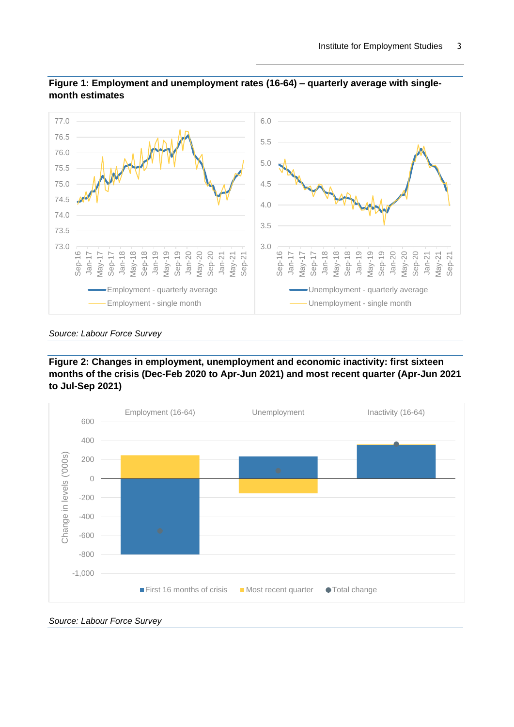

<span id="page-2-0"></span>

#### <span id="page-2-1"></span>**Figure 2: Changes in employment, unemployment and economic inactivity: first sixteen months of the crisis (Dec-Feb 2020 to Apr-Jun 2021) and most recent quarter (Apr-Jun 2021 to Jul-Sep 2021)**



*Source: Labour Force Survey*

*Source: Labour Force Survey*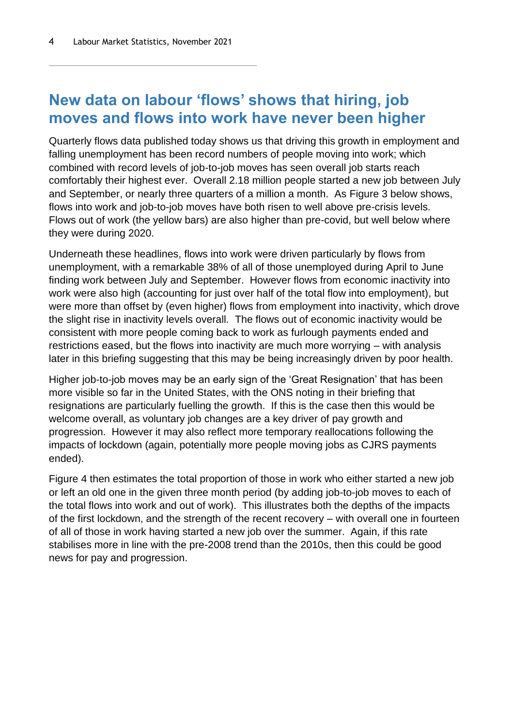### **New data on labour 'flows' shows that hiring, job moves and flows into work have never been higher**

Quarterly flows data published today shows us that driving this growth in employment and falling unemployment has been record numbers of people moving into work; which combined with record levels of job-to-job moves has seen overall job starts reach comfortably their highest ever. Overall 2.18 million people started a new job between July and September, or nearly three quarters of a million a month. As [Figure 3](#page-4-0) below shows, flows into work and job-to-job moves have both risen to well above pre-crisis levels. Flows out of work (the yellow bars) are also higher than pre-covid, but well below where they were during 2020.

Underneath these headlines, flows into work were driven particularly by flows from unemployment, with a remarkable 38% of all of those unemployed during April to June finding work between July and September. However flows from economic inactivity into work were also high (accounting for just over half of the total flow into employment), but were more than offset by (even higher) flows from employment into inactivity, which drove the slight rise in inactivity levels overall. The flows out of economic inactivity would be consistent with more people coming back to work as furlough payments ended and restrictions eased, but the flows into inactivity are much more worrying – with analysis later in this briefing suggesting that this may be being increasingly driven by poor health.

Higher job-to-job moves may be an early sign of the 'Great Resignation' that has been more visible so far in the United States, with the ONS noting in their briefing that resignations are particularly fuelling the growth. If this is the case then this would be welcome overall, as voluntary job changes are a key driver of pay growth and progression. However it may also reflect more temporary reallocations following the impacts of lockdown (again, potentially more people moving jobs as CJRS payments ended).

[Figure 4](#page-4-1) then estimates the total proportion of those in work who either started a new job or left an old one in the given three month period (by adding job-to-job moves to each of the total flows into work and out of work). This illustrates both the depths of the impacts of the first lockdown, and the strength of the recent recovery – with overall one in fourteen of all of those in work having started a new job over the summer. Again, if this rate stabilises more in line with the pre-2008 trend than the 2010s, then this could be good news for pay and progression.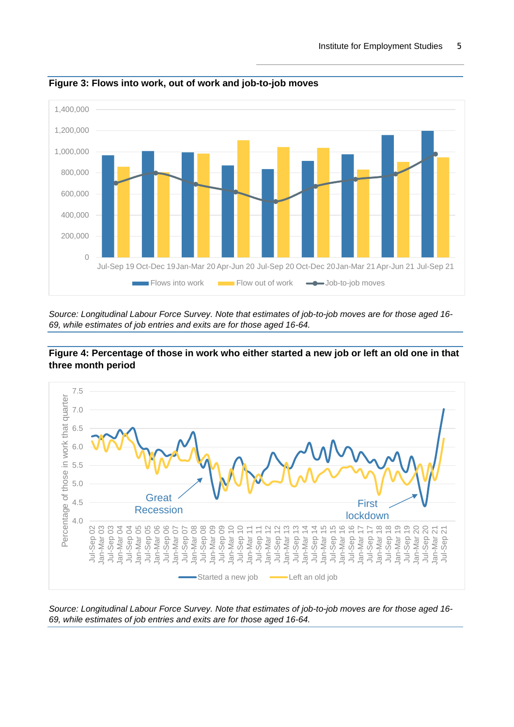

<span id="page-4-0"></span>**Figure 3: Flows into work, out of work and job-to-job moves**

*Source: Longitudinal Labour Force Survey. Note that estimates of job-to-job moves are for those aged 16- 69, while estimates of job entries and exits are for those aged 16-64.*



<span id="page-4-1"></span>

*Source: Longitudinal Labour Force Survey. Note that estimates of job-to-job moves are for those aged 16- 69, while estimates of job entries and exits are for those aged 16-64.*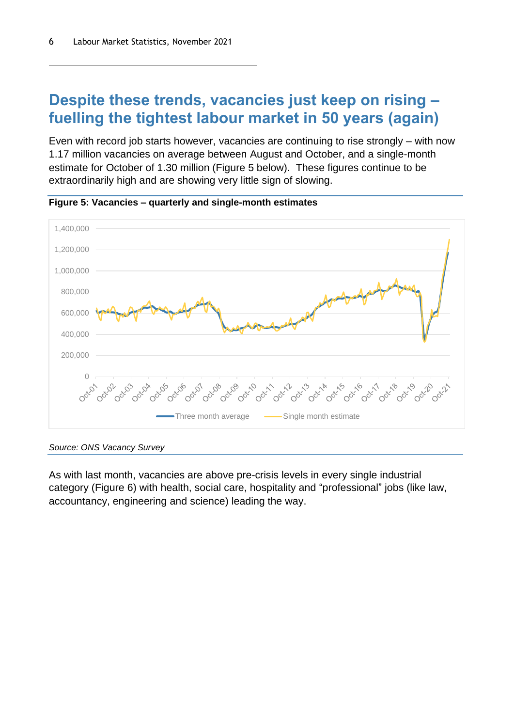### **Despite these trends, vacancies just keep on rising – fuelling the tightest labour market in 50 years (again)**

Even with record job starts however, vacancies are continuing to rise strongly – with now 1.17 million vacancies on average between August and October, and a single-month estimate for October of 1.30 million [\(Figure 5](#page-5-0) below). These figures continue to be extraordinarily high and are showing very little sign of slowing.



<span id="page-5-0"></span>**Figure 5: Vacancies – quarterly and single-month estimates**

As with last month, vacancies are above pre-crisis levels in every single industrial category [\(Figure 6\)](#page-6-0) with health, social care, hospitality and "professional" jobs (like law, accountancy, engineering and science) leading the way.

*Source: ONS Vacancy Survey*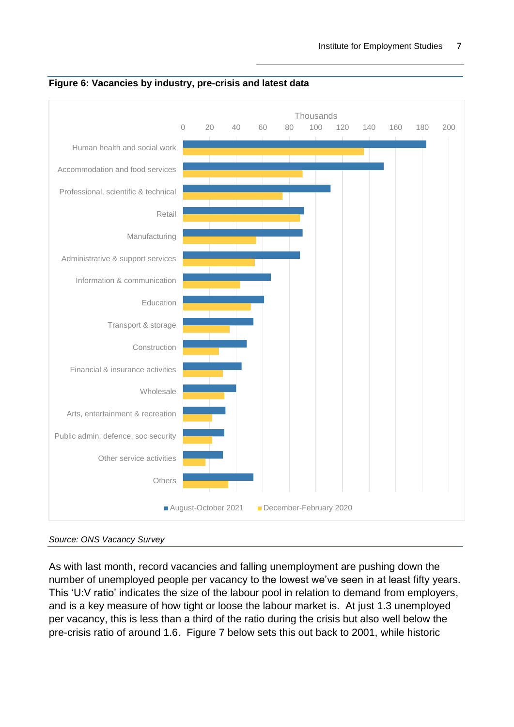

<span id="page-6-0"></span>

As with last month, record vacancies and falling unemployment are pushing down the number of unemployed people per vacancy to the lowest we've seen in at least fifty years. This 'U:V ratio' indicates the size of the labour pool in relation to demand from employers, and is a key measure of how tight or loose the labour market is. At just 1.3 unemployed per vacancy, this is less than a third of the ratio during the crisis but also well below the pre-crisis ratio of around 1.6. [Figure 7](#page-7-0) below sets this out back to 2001, while historic

*Source: ONS Vacancy Survey*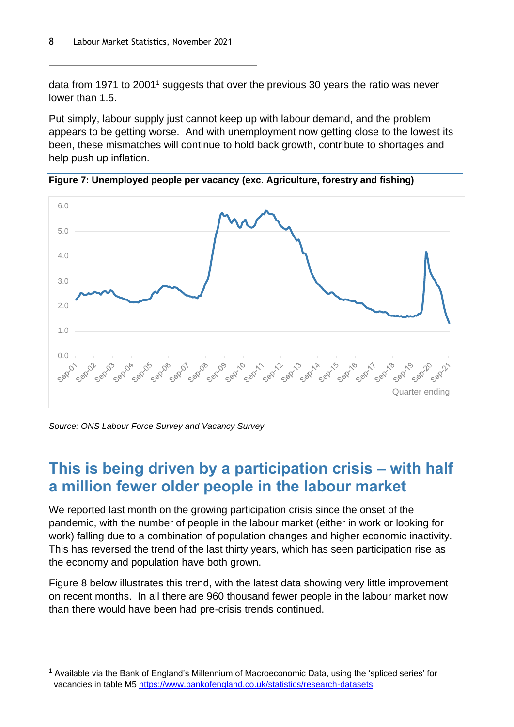data from 1971 to 2001<sup>1</sup> suggests that over the previous 30 years the ratio was never lower than 1.5.

Put simply, labour supply just cannot keep up with labour demand, and the problem appears to be getting worse. And with unemployment now getting close to the lowest its been, these mismatches will continue to hold back growth, contribute to shortages and help push up inflation.



<span id="page-7-0"></span>**Figure 7: Unemployed people per vacancy (exc. Agriculture, forestry and fishing)**

*Source: ONS Labour Force Survey and Vacancy Survey*

### **This is being driven by a participation crisis – with half a million fewer older people in the labour market**

We reported last month on the growing participation crisis since the onset of the pandemic, with the number of people in the labour market (either in work or looking for work) falling due to a combination of population changes and higher economic inactivity. This has reversed the trend of the last thirty years, which has seen participation rise as the economy and population have both grown.

[Figure 8](#page-8-0) below illustrates this trend, with the latest data showing very little improvement on recent months. In all there are 960 thousand fewer people in the labour market now than there would have been had pre-crisis trends continued.

<sup>&</sup>lt;sup>1</sup> Available via the Bank of England's Millennium of Macroeconomic Data, using the 'spliced series' for vacancies in table M5<https://www.bankofengland.co.uk/statistics/research-datasets>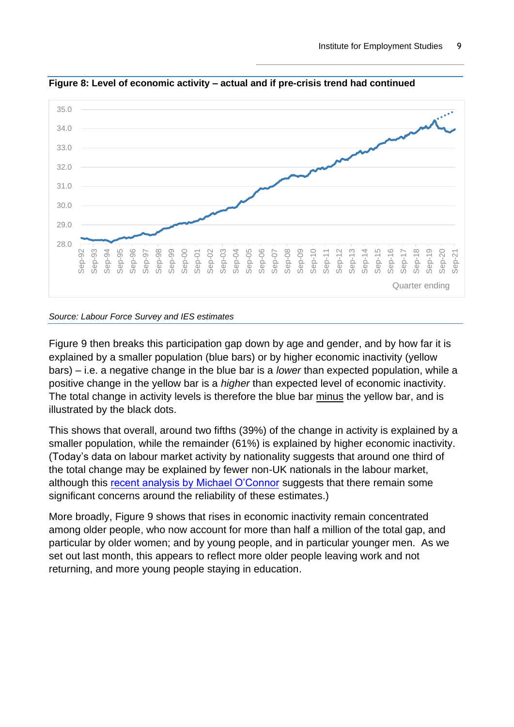

<span id="page-8-0"></span>**Figure 8: Level of economic activity – actual and if pre-crisis trend had continued**

#### *Source: Labour Force Survey and IES estimates*

[Figure 9](#page-9-0) then breaks this participation gap down by age and gender, and by how far it is explained by a smaller population (blue bars) or by higher economic inactivity (yellow bars) – i.e. a negative change in the blue bar is a *lower* than expected population, while a positive change in the yellow bar is a *higher* than expected level of economic inactivity. The total change in activity levels is therefore the blue bar minus the yellow bar, and is illustrated by the black dots.

This shows that overall, around two fifths (39%) of the change in activity is explained by a smaller population, while the remainder (61%) is explained by higher economic inactivity. (Today's data on labour market activity by nationality suggests that around one third of the total change may be explained by fewer non-UK nationals in the labour market, although this [recent analysis by Michael O'Connor](https://strongerinnos.medium.com/weighting-in-vain-c8dbd25bb3c6) suggests that there remain some significant concerns around the reliability of these estimates.)

More broadly[, Figure 9](#page-9-0) shows that rises in economic inactivity remain concentrated among older people, who now account for more than half a million of the total gap, and particular by older women; and by young people, and in particular younger men. As we set out last month, this appears to reflect more older people leaving work and not returning, and more young people staying in education.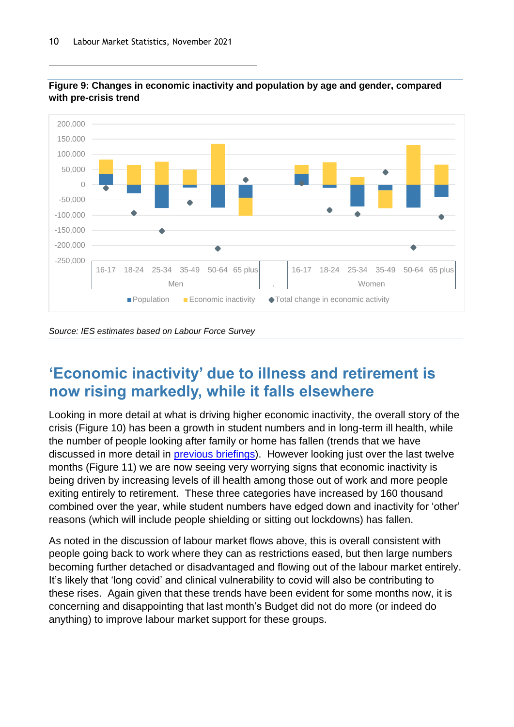

<span id="page-9-0"></span>

*Source: IES estimates based on Labour Force Survey*

# **'Economic inactivity' due to illness and retirement is now rising markedly, while it falls elsewhere**

Looking in more detail at what is driving higher economic inactivity, the overall story of the crisis [\(Figure 10\)](#page-10-0) has been a growth in student numbers and in long-term ill health, while the number of people looking after family or home has fallen (trends that we have discussed in more detail in [previous briefings\)](https://www.employment-studies.co.uk/resource/labour-market-statistics-october-2021). However looking just over the last twelve months [\(Figure 11\)](#page-10-1) we are now seeing very worrying signs that economic inactivity is being driven by increasing levels of ill health among those out of work and more people exiting entirely to retirement. These three categories have increased by 160 thousand combined over the year, while student numbers have edged down and inactivity for 'other' reasons (which will include people shielding or sitting out lockdowns) has fallen.

As noted in the discussion of labour market flows above, this is overall consistent with people going back to work where they can as restrictions eased, but then large numbers becoming further detached or disadvantaged and flowing out of the labour market entirely. It's likely that 'long covid' and clinical vulnerability to covid will also be contributing to these rises. Again given that these trends have been evident for some months now, it is concerning and disappointing that last month's Budget did not do more (or indeed do anything) to improve labour market support for these groups.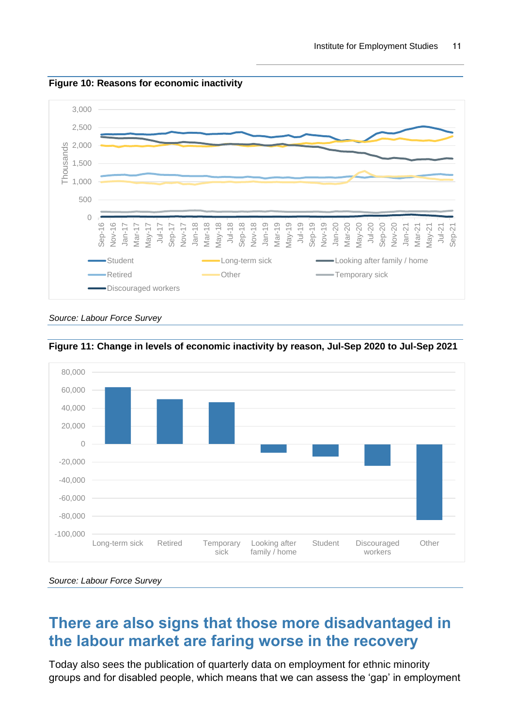

<span id="page-10-0"></span>**Figure 10: Reasons for economic inactivity**

*Source: Labour Force Survey*



<span id="page-10-1"></span>**Figure 11: Change in levels of economic inactivity by reason, Jul-Sep 2020 to Jul-Sep 2021**

*Source: Labour Force Survey*

#### **There are also signs that those more disadvantaged in the labour market are faring worse in the recovery**

Today also sees the publication of quarterly data on employment for ethnic minority groups and for disabled people, which means that we can assess the 'gap' in employment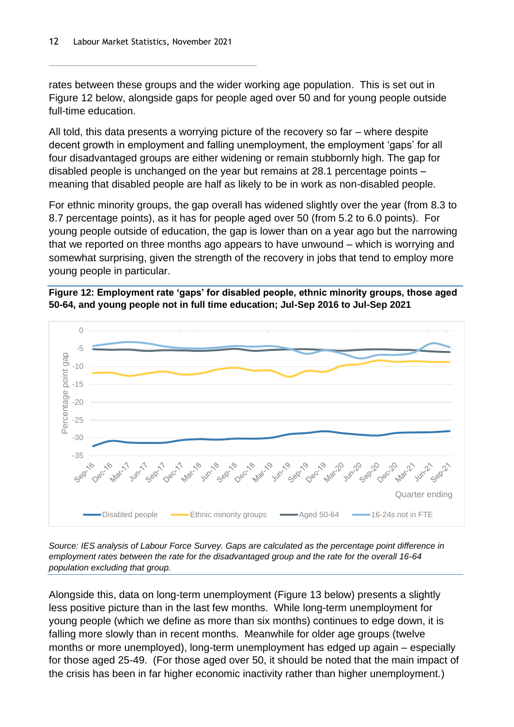rates between these groups and the wider working age population. This is set out in [Figure 12](#page-11-0) below, alongside gaps for people aged over 50 and for young people outside full-time education.

All told, this data presents a worrying picture of the recovery so far – where despite decent growth in employment and falling unemployment, the employment 'gaps' for all four disadvantaged groups are either widening or remain stubbornly high. The gap for disabled people is unchanged on the year but remains at 28.1 percentage points – meaning that disabled people are half as likely to be in work as non-disabled people.

For ethnic minority groups, the gap overall has widened slightly over the year (from 8.3 to 8.7 percentage points), as it has for people aged over 50 (from 5.2 to 6.0 points). For young people outside of education, the gap is lower than on a year ago but the narrowing that we reported on three months ago appears to have unwound – which is worrying and somewhat surprising, given the strength of the recovery in jobs that tend to employ more young people in particular.

<span id="page-11-0"></span>



*Source: IES analysis of Labour Force Survey. Gaps are calculated as the percentage point difference in employment rates between the rate for the disadvantaged group and the rate for the overall 16-64 population excluding that group.* 

Alongside this, data on long-term unemployment [\(Figure 13](#page-12-0) below) presents a slightly less positive picture than in the last few months. While long-term unemployment for young people (which we define as more than six months) continues to edge down, it is falling more slowly than in recent months. Meanwhile for older age groups (twelve months or more unemployed), long-term unemployment has edged up again – especially for those aged 25-49. (For those aged over 50, it should be noted that the main impact of the crisis has been in far higher economic inactivity rather than higher unemployment.)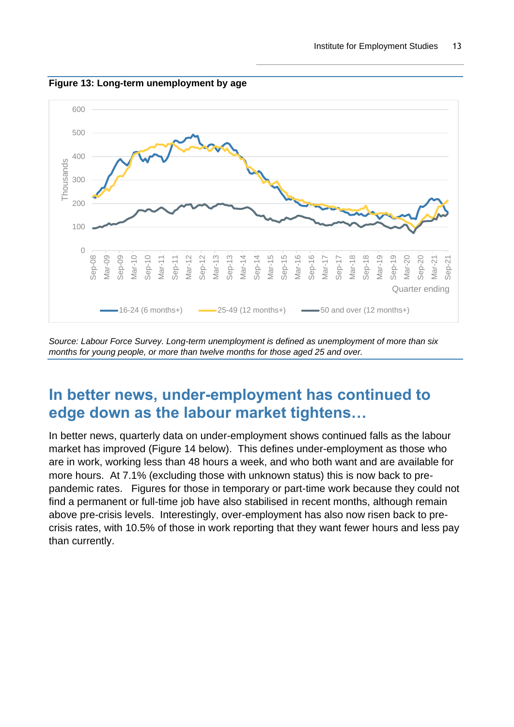

<span id="page-12-0"></span>**Figure 13: Long-term unemployment by age**

*Source: Labour Force Survey. Long-term unemployment is defined as unemployment of more than six months for young people, or more than twelve months for those aged 25 and over.*

#### **In better news, under-employment has continued to edge down as the labour market tightens…**

In better news, quarterly data on under-employment shows continued falls as the labour market has improved [\(Figure 14](#page-13-0) below). This defines under-employment as those who are in work, working less than 48 hours a week, and who both want and are available for more hours. At 7.1% (excluding those with unknown status) this is now back to prepandemic rates. Figures for those in temporary or part-time work because they could not find a permanent or full-time job have also stabilised in recent months, although remain above pre-crisis levels. Interestingly, over-employment has also now risen back to precrisis rates, with 10.5% of those in work reporting that they want fewer hours and less pay than currently.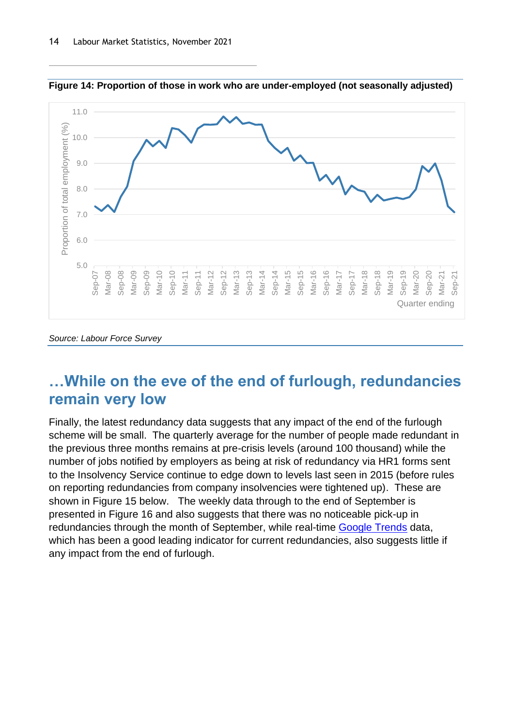

<span id="page-13-0"></span>**Figure 14: Proportion of those in work who are under-employed (not seasonally adjusted)**

#### *Source: Labour Force Survey*

#### **…While on the eve of the end of furlough, redundancies remain very low**

Finally, the latest redundancy data suggests that any impact of the end of the furlough scheme will be small. The quarterly average for the number of people made redundant in the previous three months remains at pre-crisis levels (around 100 thousand) while the number of jobs notified by employers as being at risk of redundancy via HR1 forms sent to the Insolvency Service continue to edge down to levels last seen in 2015 (before rules on reporting redundancies from company insolvencies were tightened up). These are shown in [Figure 15](#page-14-0) below. The weekly data through to the end of September is presented in [Figure 16](#page-14-1) and also suggests that there was no noticeable pick-up in redundancies through the month of September, while real-time [Google Trends](https://trends.google.com/trends/explore?date=today%205-y&geo=GB&q=redundancy) data, which has been a good leading indicator for current redundancies, also suggests little if any impact from the end of furlough.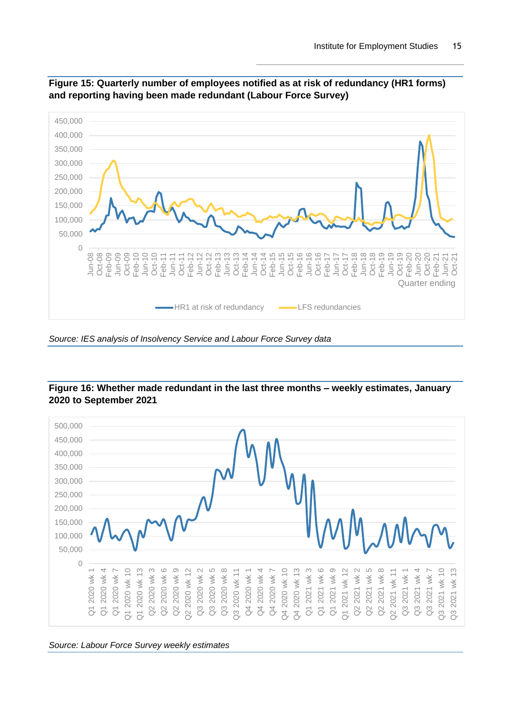

<span id="page-14-0"></span>**Figure 15: Quarterly number of employees notified as at risk of redundancy (HR1 forms) and reporting having been made redundant (Labour Force Survey)**



#### <span id="page-14-1"></span>**Figure 16: Whether made redundant in the last three months – weekly estimates, January 2020 to September 2021**

*Source: Labour Force Survey weekly estimates*

*Source: IES analysis of Insolvency Service and Labour Force Survey data*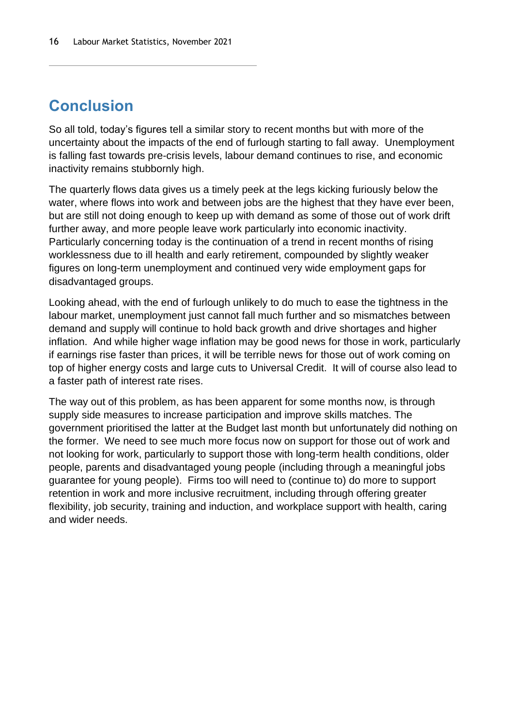# **Conclusion**

So all told, today's figures tell a similar story to recent months but with more of the uncertainty about the impacts of the end of furlough starting to fall away. Unemployment is falling fast towards pre-crisis levels, labour demand continues to rise, and economic inactivity remains stubbornly high.

The quarterly flows data gives us a timely peek at the legs kicking furiously below the water, where flows into work and between jobs are the highest that they have ever been, but are still not doing enough to keep up with demand as some of those out of work drift further away, and more people leave work particularly into economic inactivity. Particularly concerning today is the continuation of a trend in recent months of rising worklessness due to ill health and early retirement, compounded by slightly weaker figures on long-term unemployment and continued very wide employment gaps for disadvantaged groups.

Looking ahead, with the end of furlough unlikely to do much to ease the tightness in the labour market, unemployment just cannot fall much further and so mismatches between demand and supply will continue to hold back growth and drive shortages and higher inflation. And while higher wage inflation may be good news for those in work, particularly if earnings rise faster than prices, it will be terrible news for those out of work coming on top of higher energy costs and large cuts to Universal Credit. It will of course also lead to a faster path of interest rate rises.

The way out of this problem, as has been apparent for some months now, is through supply side measures to increase participation and improve skills matches. The government prioritised the latter at the Budget last month but unfortunately did nothing on the former. We need to see much more focus now on support for those out of work and not looking for work, particularly to support those with long-term health conditions, older people, parents and disadvantaged young people (including through a meaningful jobs guarantee for young people). Firms too will need to (continue to) do more to support retention in work and more inclusive recruitment, including through offering greater flexibility, job security, training and induction, and workplace support with health, caring and wider needs.